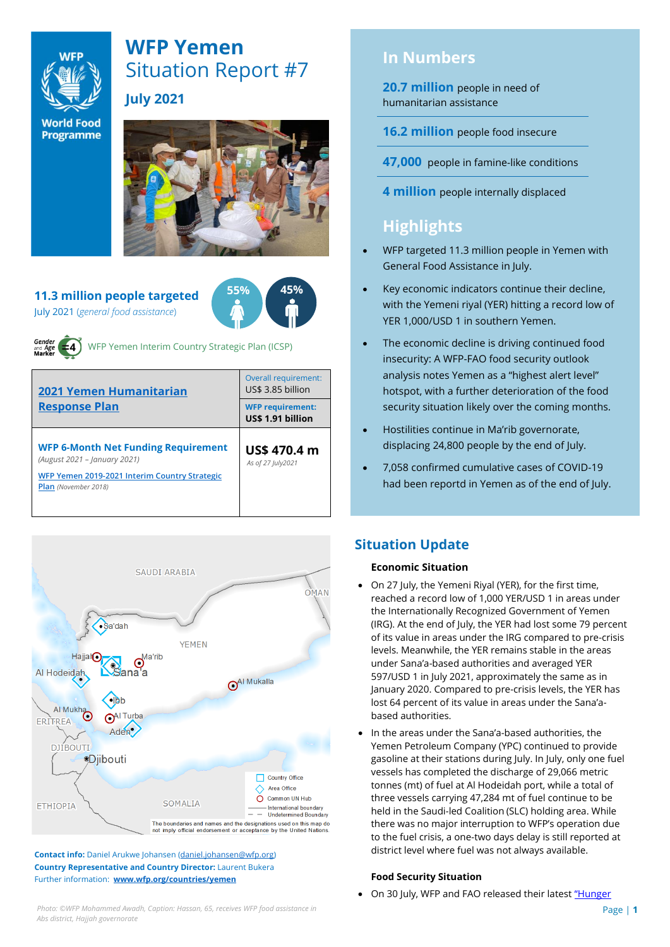

# **WFP Yemen** Situation Report #7 **July 2021**

**World Food Programme** 



## **11.3 million people targeted**







WFP Yemen Interim Country Strategic Plan (ICSP)

| <b>2021 Yemen Humanitarian</b><br><b>Response Plan</b>                                                                                              | Overall requirement:<br>US\$ 3.85 billion    |  |  |
|-----------------------------------------------------------------------------------------------------------------------------------------------------|----------------------------------------------|--|--|
|                                                                                                                                                     | <b>WFP requirement:</b><br>US\$ 1.91 billion |  |  |
| <b>WFP 6-Month Net Funding Requirement</b><br>(August 2021 - January 2021)<br>WFP Yemen 2019-2021 Interim Country Strategic<br>Plan (November 2018) | US\$ 470.4 m<br>As of 27 July 2021           |  |  |



**Contact info:** Daniel Arukwe Johansen [\(daniel.johansen@wfp.org\)](mailto:daniel.johansen@wfp.org) **Country Representative and Country Director:** Laurent Bukera Further information: **[www.wfp.org/countries/yemen](http://www.wfp.org/countries/yemen)**

# **In Numbers**

**20.7 million** people in need of humanitarian assistance

**16.2 million** people food insecure

**47,000** people in famine-like conditions

**4 million** people internally displaced

# **Highlights**

- WFP targeted 11.3 million people in Yemen with General Food Assistance in July.
- Key economic indicators continue their decline, with the Yemeni riyal (YER) hitting a record low of YER 1,000/USD 1 in southern Yemen.
- The economic decline is driving continued food insecurity: A WFP-FAO food security outlook analysis notes Yemen as a "highest alert level" hotspot, with a further deterioration of the food security situation likely over the coming months.
- Hostilities continue in Ma'rib governorate, displacing 24,800 people by the end of July.
- 7,058 confirmed cumulative cases of COVID-19 had been reportd in Yemen as of the end of July.

## **Situation Update**

## **Economic Situation**

- On 27 July, the Yemeni Riyal (YER), for the first time, reached a record low of 1,000 YER/USD 1 in areas under the Internationally Recognized Government of Yemen (IRG). At the end of July, the YER had lost some 79 percent of its value in areas under the IRG compared to pre-crisis levels. Meanwhile, the YER remains stable in the areas under Sana'a-based authorities and averaged YER 597/USD 1 in July 2021, approximately the same as in January 2020. Compared to pre-crisis levels, the YER has lost 64 percent of its value in areas under the Sana'abased authorities.
- In the areas under the Sana'a-based authorities, the Yemen Petroleum Company (YPC) continued to provide gasoline at their stations during July. In July, only one fuel vessels has completed the discharge of 29,066 metric tonnes (mt) of fuel at Al Hodeidah port, while a total of three vessels carrying 47,284 mt of fuel continue to be held in the Saudi-led Coalition (SLC) holding area. While there was no major interruption to WFP's operation due to the fuel crisis, a one-two days delay is still reported at district level where fuel was not always available.

## **Food Security Situation**

• On 30 July, WFP and FAO released their latest "Hunger

*Photo:* ©WFP Mohammed Awadh, Caption: Hassan, 65, receives WFP food assistance in **Page 11 Page | 1** *Abs district, Hajjah governorate*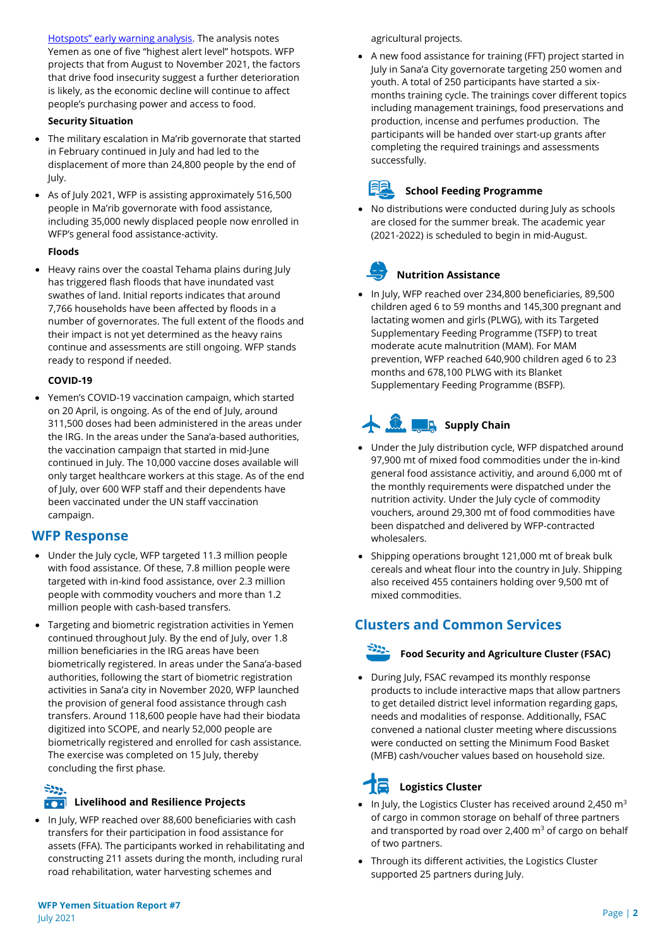[Hotspots" early warning analysis](https://www.wfp.org/publications/hunger-hotspots-fao-wfp-early-warnings-acute-food-insecurity-august-november-2021). The analysis notes Yemen as one of five "highest alert level" hotspots. WFP projects that from August to November 2021, the factors that drive food insecurity suggest a further deterioration is likely, as the economic decline will continue to affect people's purchasing power and access to food.

#### **Security Situation**

- The military escalation in Ma'rib governorate that started in February continued in July and had led to the displacement of more than 24,800 people by the end of July.
- As of July 2021, WFP is assisting approximately 516,500 people in Ma'rib governorate with food assistance, including 35,000 newly displaced people now enrolled in WFP's general food assistance-activity.

#### **Floods**

• Heavy rains over the coastal Tehama plains during July has triggered flash floods that have inundated vast swathes of land. Initial reports indicates that around 7,766 households have been affected by floods in a number of governorates. The full extent of the floods and their impact is not yet determined as the heavy rains continue and assessments are still ongoing. WFP stands ready to respond if needed.

#### **COVID-19**

• Yemen's COVID-19 vaccination campaign, which started on 20 April, is ongoing. As of the end of July, around 311,500 doses had been administered in the areas under the IRG. In the areas under the Sana'a-based authorities, the vaccination campaign that started in mid-June continued in July. The 10,000 vaccine doses available will only target healthcare workers at this stage. As of the end of July, over 600 WFP staff and their dependents have been vaccinated under the UN staff vaccination campaign.

## **WFP Response**

- Under the July cycle, WFP targeted 11.3 million people with food assistance. Of these, 7.8 million people were targeted with in-kind food assistance, over 2.3 million people with commodity vouchers and more than 1.2 million people with cash-based transfers.
- Targeting and biometric registration activities in Yemen continued throughout July. By the end of July, over 1.8 million beneficiaries in the IRG areas have been biometrically registered. In areas under the Sana'a-based authorities, following the start of biometric registration activities in Sana'a city in November 2020, WFP launched the provision of general food assistance through cash transfers. Around 118,600 people have had their biodata digitized into SCOPE, and nearly 52,000 people are biometrically registered and enrolled for cash assistance. The exercise was completed on 15 July, thereby concluding the first phase.

 $\frac{25}{2}$ 

## **Livelihood and Resilience Projects**

• In July, WFP reached over 88,600 beneficiaries with cash transfers for their participation in food assistance for assets (FFA). The participants worked in rehabilitating and constructing 211 assets during the month, including rural road rehabilitation, water harvesting schemes and

agricultural projects.

• A new food assistance for training (FFT) project started in July in Sana'a City governorate targeting 250 women and youth. A total of 250 participants have started a sixmonths training cycle. The trainings cover different topics including management trainings, food preservations and production, incense and perfumes production. The participants will be handed over start-up grants after completing the required trainings and assessments successfully.



### **School Feeding Programme**

• No distributions were conducted during July as schools are closed for the summer break. The academic year (2021-2022) is scheduled to begin in mid-August.

# **Nutrition Assistance**

• In July, WFP reached over 234,800 beneficiaries, 89,500 children aged 6 to 59 months and 145,300 pregnant and lactating women and girls (PLWG), with its Targeted Supplementary Feeding Programme (TSFP) to treat moderate acute malnutrition (MAM). For MAM prevention, WFP reached 640,900 children aged 6 to 23 months and 678,100 PLWG with its Blanket Supplementary Feeding Programme (BSFP).

# **Supply Chain**

- Under the July distribution cycle, WFP dispatched around 97,900 mt of mixed food commodities under the in-kind general food assistance activitiy, and around 6,000 mt of the monthly requirements were dispatched under the nutrition activity. Under the July cycle of commodity vouchers, around 29,300 mt of food commodities have been dispatched and delivered by WFP-contracted wholesalers.
- Shipping operations brought 121,000 mt of break bulk cereals and wheat flour into the country in July. Shipping also received 455 containers holding over 9,500 mt of mixed commodities.

## **Clusters and Common Services**



#### **Food Security and Agriculture Cluster (FSAC)**

• During July, FSAC revamped its monthly response products to include interactive maps that allow partners to get detailed district level information regarding gaps, needs and modalities of response. Additionally, FSAC convened a national cluster meeting where discussions were conducted on setting the Minimum Food Basket (MFB) cash/voucher values based on household size.

# **Logistics Cluster**

- In July, the Logistics Cluster has received around 2,450  $m<sup>3</sup>$ of cargo in common storage on behalf of three partners and transported by road over 2,400  $m<sup>3</sup>$  of cargo on behalf of two partners.
- Through its different activities, the Logistics Cluster supported 25 partners during July.